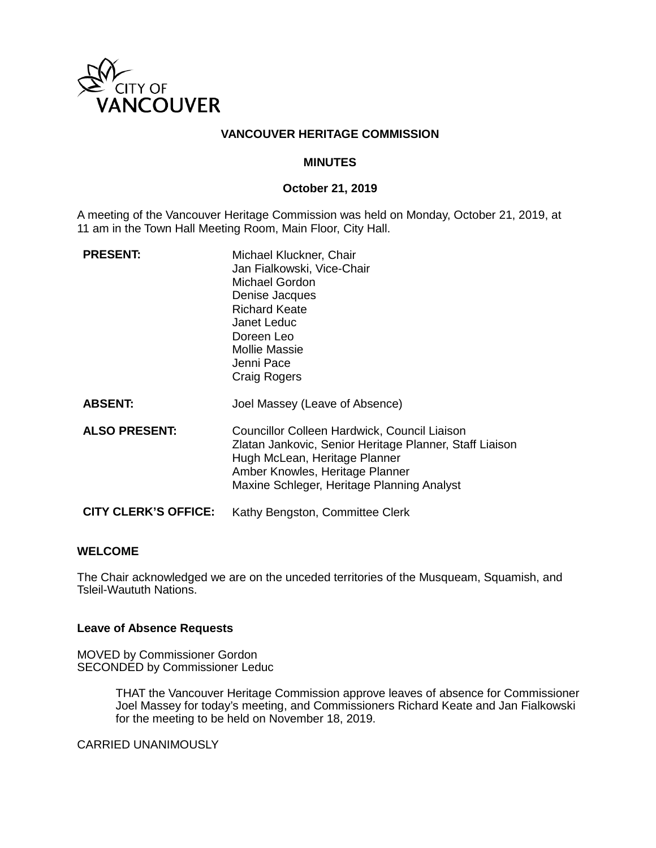

### **VANCOUVER HERITAGE COMMISSION**

#### **MINUTES**

### **October 21, 2019**

A meeting of the Vancouver Heritage Commission was held on Monday, October 21, 2019, at 11 am in the Town Hall Meeting Room, Main Floor, City Hall.

| <b>PRESENT:</b>             | Michael Kluckner, Chair<br>Jan Fialkowski, Vice-Chair<br><b>Michael Gordon</b><br>Denise Jacques<br><b>Richard Keate</b><br>Janet Leduc<br>Doreen Leo<br>Mollie Massie<br>Jenni Pace<br>Craig Rogers                      |
|-----------------------------|---------------------------------------------------------------------------------------------------------------------------------------------------------------------------------------------------------------------------|
| <b>ABSENT:</b>              | Joel Massey (Leave of Absence)                                                                                                                                                                                            |
| <b>ALSO PRESENT:</b>        | Councillor Colleen Hardwick, Council Liaison<br>Zlatan Jankovic, Senior Heritage Planner, Staff Liaison<br>Hugh McLean, Heritage Planner<br>Amber Knowles, Heritage Planner<br>Maxine Schleger, Heritage Planning Analyst |
| <b>CITY CLERK'S OFFICE:</b> | Kathy Bengston, Committee Clerk                                                                                                                                                                                           |

#### **WELCOME**

The Chair acknowledged we are on the unceded territories of the Musqueam, Squamish, and Tsleil-Waututh Nations.

#### **Leave of Absence Requests**

MOVED by Commissioner Gordon SECONDED by Commissioner Leduc

> THAT the Vancouver Heritage Commission approve leaves of absence for Commissioner Joel Massey for today's meeting, and Commissioners Richard Keate and Jan Fialkowski for the meeting to be held on November 18, 2019.

CARRIED UNANIMOUSLY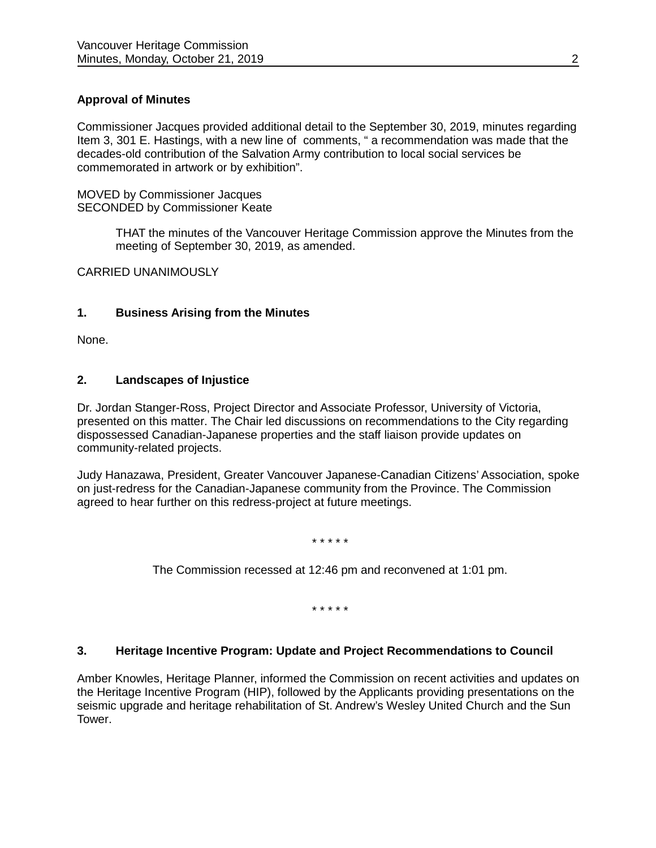# **Approval of Minutes**

Commissioner Jacques provided additional detail to the September 30, 2019, minutes regarding Item 3, 301 E. Hastings, with a new line of comments, " a recommendation was made that the decades-old contribution of the Salvation Army contribution to local social services be commemorated in artwork or by exhibition".

MOVED by Commissioner Jacques SECONDED by Commissioner Keate

> THAT the minutes of the Vancouver Heritage Commission approve the Minutes from the meeting of September 30, 2019, as amended.

CARRIED UNANIMOUSLY

### **1. Business Arising from the Minutes**

None.

# **2. Landscapes of Injustice**

Dr. Jordan Stanger-Ross, Project Director and Associate Professor, University of Victoria, presented on this matter. The Chair led discussions on recommendations to the City regarding dispossessed Canadian-Japanese properties and the staff liaison provide updates on community-related projects.

Judy Hanazawa, President, Greater Vancouver Japanese-Canadian Citizens' Association, spoke on just-redress for the Canadian-Japanese community from the Province. The Commission agreed to hear further on this redress-project at future meetings.

\* \* \* \* \*

The Commission recessed at 12:46 pm and reconvened at 1:01 pm.

\* \* \* \* \*

#### **3. Heritage Incentive Program: Update and Project Recommendations to Council**

Amber Knowles, Heritage Planner, informed the Commission on recent activities and updates on the Heritage Incentive Program (HIP), followed by the Applicants providing presentations on the seismic upgrade and heritage rehabilitation of St. Andrew's Wesley United Church and the Sun Tower.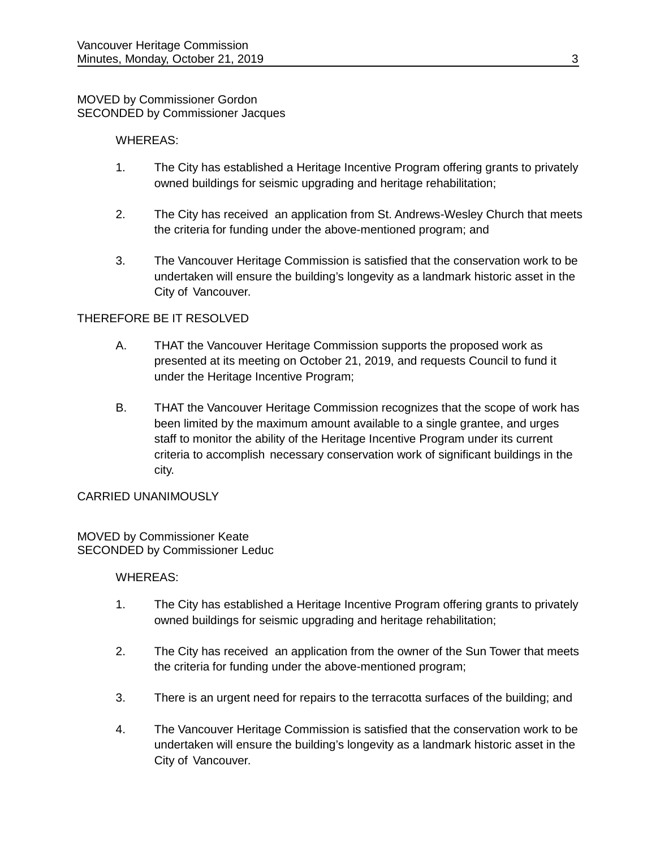### MOVED by Commissioner Gordon SECONDED by Commissioner Jacques

### WHEREAS:

- 1. The City has established a Heritage Incentive Program offering grants to privately owned buildings for seismic upgrading and heritage rehabilitation;
- 2. The City has received an application from St. Andrews-Wesley Church that meets the criteria for funding under the above-mentioned program; and
- 3. The Vancouver Heritage Commission is satisfied that the conservation work to be undertaken will ensure the building's longevity as a landmark historic asset in the City of Vancouver.

# THEREFORE BE IT RESOLVED

- A. THAT the Vancouver Heritage Commission supports the proposed work as presented at its meeting on October 21, 2019, and requests Council to fund it under the Heritage Incentive Program;
- B. THAT the Vancouver Heritage Commission recognizes that the scope of work has been limited by the maximum amount available to a single grantee, and urges staff to monitor the ability of the Heritage Incentive Program under its current criteria to accomplish necessary conservation work of significant buildings in the city.

#### CARRIED UNANIMOUSLY

#### MOVED by Commissioner Keate SECONDED by Commissioner Leduc

# WHEREAS:

- 1. The City has established a Heritage Incentive Program offering grants to privately owned buildings for seismic upgrading and heritage rehabilitation;
- 2. The City has received an application from the owner of the Sun Tower that meets the criteria for funding under the above-mentioned program;
- 3. There is an urgent need for repairs to the terracotta surfaces of the building; and
- 4. The Vancouver Heritage Commission is satisfied that the conservation work to be undertaken will ensure the building's longevity as a landmark historic asset in the City of Vancouver.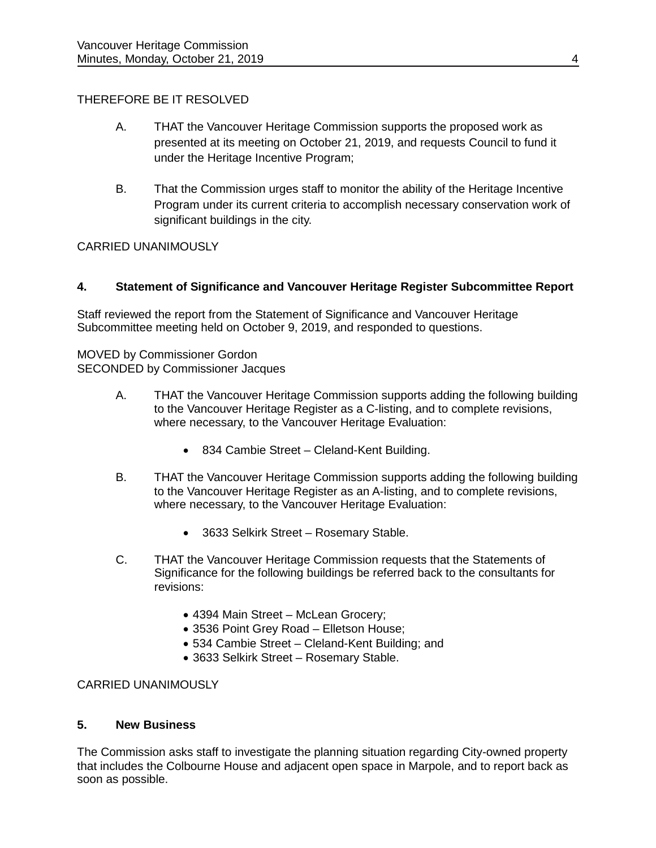# THEREFORE BE IT RESOLVED

- A. THAT the Vancouver Heritage Commission supports the proposed work as presented at its meeting on October 21, 2019, and requests Council to fund it under the Heritage Incentive Program;
- B. That the Commission urges staff to monitor the ability of the Heritage Incentive Program under its current criteria to accomplish necessary conservation work of significant buildings in the city.

# CARRIED UNANIMOUSLY

# **4. Statement of Significance and Vancouver Heritage Register Subcommittee Report**

Staff reviewed the report from the Statement of Significance and Vancouver Heritage Subcommittee meeting held on October 9, 2019, and responded to questions.

MOVED by Commissioner Gordon SECONDED by Commissioner Jacques

- A. THAT the Vancouver Heritage Commission supports adding the following building to the Vancouver Heritage Register as a C-listing, and to complete revisions, where necessary, to the Vancouver Heritage Evaluation:
	- 834 Cambie Street Cleland-Kent Building.
- B. THAT the Vancouver Heritage Commission supports adding the following building to the Vancouver Heritage Register as an A-listing, and to complete revisions, where necessary, to the Vancouver Heritage Evaluation:
	- 3633 Selkirk Street Rosemary Stable.
- C. THAT the Vancouver Heritage Commission requests that the Statements of Significance for the following buildings be referred back to the consultants for revisions:
	- 4394 Main Street McLean Grocery;
	- 3536 Point Grey Road Elletson House;
	- 534 Cambie Street Cleland-Kent Building; and
	- 3633 Selkirk Street Rosemary Stable.

# CARRIED UNANIMOUSLY

# **5. New Business**

The Commission asks staff to investigate the planning situation regarding City-owned property that includes the Colbourne House and adjacent open space in Marpole, and to report back as soon as possible.